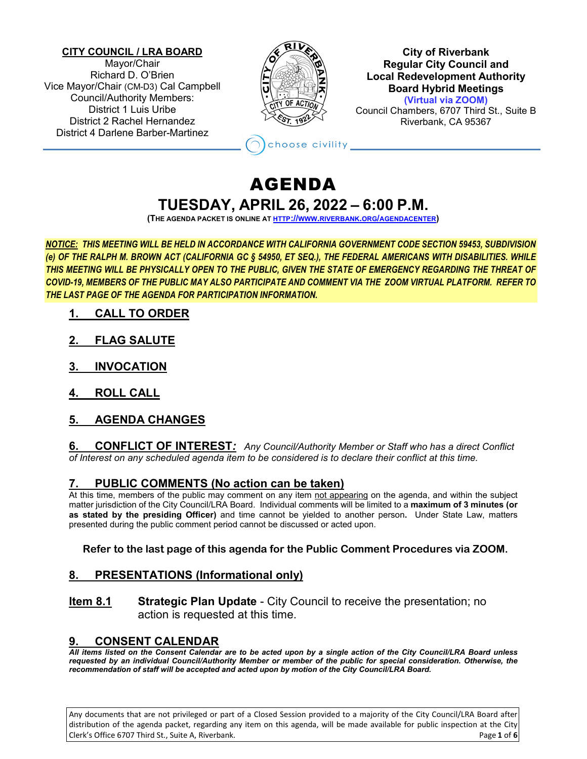#### **CITY COUNCIL / LRA BOARD**

Mayor/Chair Richard D. O'Brien Vice Mayor/Chair (CM-D3) Cal Campbell Council/Authority Members: District 1 Luis Uribe District 2 Rachel Hernandez District 4 Darlene Barber-Martinez



**City of Riverbank Regular City Council and Local Redevelopment Authority Board Hybrid Meetings (Virtual via ZOOM)** Council Chambers, 6707 Third St., Suite B

Riverbank, CA 95367

## AGENDA **TUESDAY, APRIL 26, 2022 – 6:00 P.M.**

hoose civility

**(THE AGENDA PACKET IS ONLINE A[T HTTP://WWW.RIVERBANK.ORG/AGENDACENTER\)](http://www.riverbank.org/agendacenter)**

*NOTICE: THIS MEETING WILL BE HELD IN ACCORDANCE WITH CALIFORNIA GOVERNMENT CODE SECTION 59453, SUBDIVISION (e) OF THE RALPH M. BROWN ACT (CALIFORNIA GC § 54950, ET SEQ.), THE FEDERAL AMERICANS WITH DISABILITIES. WHILE THIS MEETING WILL BE PHYSICALLY OPEN TO THE PUBLIC, GIVEN THE STATE OF EMERGENCY REGARDING THE THREAT OF COVID-19, MEMBERS OF THE PUBLIC MAY ALSO PARTICIPATE AND COMMENT VIA THE ZOOM VIRTUAL PLATFORM. REFER TO THE LAST PAGE OF THE AGENDA FOR PARTICIPATION INFORMATION.*

- **1. CALL TO ORDER**
- **2. FLAG SALUTE**
- **3. INVOCATION**
- **4. ROLL CALL**
- **5. AGENDA CHANGES**

**6. CONFLICT OF INTEREST***: Any Council/Authority Member or Staff who has a direct Conflict of Interest on any scheduled agenda item to be considered is to declare their conflict at this time.*

## **7. PUBLIC COMMENTS (No action can be taken)**

At this time, members of the public may comment on any item not appearing on the agenda, and within the subject matter jurisdiction of the City Council/LRA Board. Individual comments will be limited to a **maximum of 3 minutes (or as stated by the presiding Officer)** and time cannot be yielded to another person**.** Under State Law, matters presented during the public comment period cannot be discussed or acted upon.

## **Refer to the last page of this agenda for the Public Comment Procedures via ZOOM.**

## **8. PRESENTATIONS (Informational only)**

**Item 8.1 Strategic Plan Update** - City Council to receive the presentation; no action is requested at this time.

## **9. CONSENT CALENDAR**

*All items listed on the Consent Calendar are to be acted upon by a single action of the City Council/LRA Board unless requested by an individual Council/Authority Member or member of the public for special consideration. Otherwise, the recommendation of staff will be accepted and acted upon by motion of the City Council/LRA Board.*

Any documents that are not privileged or part of a Closed Session provided to a majority of the City Council/LRA Board after distribution of the agenda packet, regarding any item on this agenda, will be made available for public inspection at the City Clerk's Office 6707 Third St., Suite A, Riverbank. Page **1** of **6**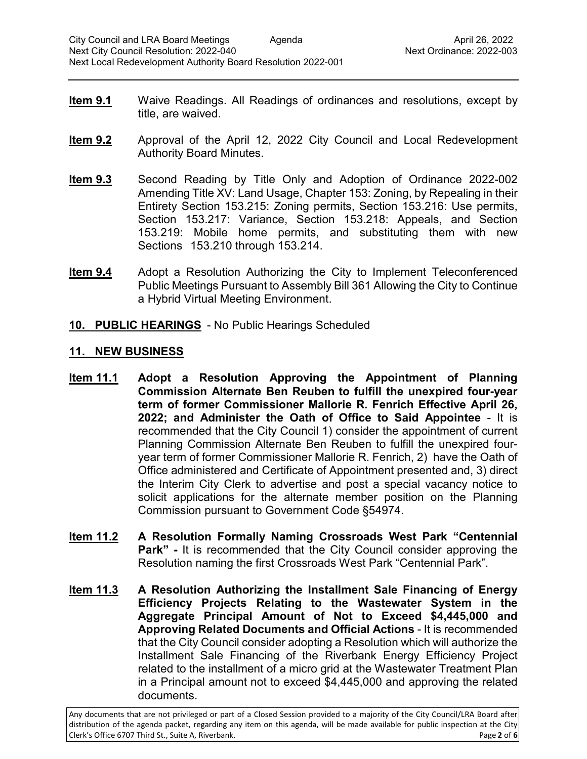- **Item 9.1** Waive Readings. All Readings of ordinances and resolutions, except by title, are waived.
- **Item 9.2** Approval of the April 12, 2022 City Council and Local Redevelopment Authority Board Minutes.
- **Item 9.3** Second Reading by Title Only and Adoption of Ordinance 2022-002 Amending Title XV: Land Usage, Chapter 153: Zoning, by Repealing in their Entirety Section 153.215: Zoning permits, Section 153.216: Use permits, Section 153.217: Variance, Section 153.218: Appeals, and Section 153.219: Mobile home permits, and substituting them with new Sections 153.210 through 153.214.
- **Item 9.4** Adopt a Resolution Authorizing the City to Implement Teleconferenced Public Meetings Pursuant to Assembly Bill 361 Allowing the City to Continue a Hybrid Virtual Meeting Environment.
- **10. PUBLIC HEARINGS** No Public Hearings Scheduled

## **11. NEW BUSINESS**

- **Item 11.1 Adopt a Resolution Approving the Appointment of Planning Commission Alternate Ben Reuben to fulfill the unexpired four-year term of former Commissioner Mallorie R. Fenrich Effective April 26, 2022; and Administer the Oath of Office to Said Appointee** - It is recommended that the City Council 1) consider the appointment of current Planning Commission Alternate Ben Reuben to fulfill the unexpired fouryear term of former Commissioner Mallorie R. Fenrich, 2) have the Oath of Office administered and Certificate of Appointment presented and, 3) direct the Interim City Clerk to advertise and post a special vacancy notice to solicit applications for the alternate member position on the Planning Commission pursuant to Government Code §54974.
- **Item 11.2 A Resolution Formally Naming Crossroads West Park "Centennial Park" -** It is recommended that the City Council consider approving the Resolution naming the first Crossroads West Park "Centennial Park".
- **Item 11.3 A Resolution Authorizing the Installment Sale Financing of Energy Efficiency Projects Relating to the Wastewater System in the Aggregate Principal Amount of Not to Exceed \$4,445,000 and Approving Related Documents and Official Actions** - It is recommended that the City Council consider adopting a Resolution which will authorize the Installment Sale Financing of the Riverbank Energy Efficiency Project related to the installment of a micro grid at the Wastewater Treatment Plan in a Principal amount not to exceed \$4,445,000 and approving the related documents.

Any documents that are not privileged or part of a Closed Session provided to a majority of the City Council/LRA Board after distribution of the agenda packet, regarding any item on this agenda, will be made available for public inspection at the City Clerk's Office 6707 Third St., Suite A, Riverbank. Page **2** of **6**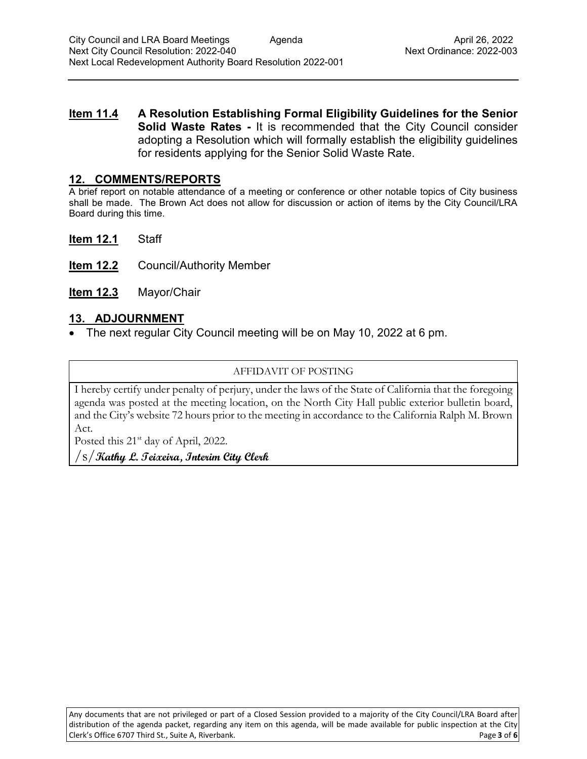**Item 11.4 A Resolution Establishing Formal Eligibility Guidelines for the Senior Solid Waste Rates -** It is recommended that the City Council consider adopting a Resolution which will formally establish the eligibility guidelines for residents applying for the Senior Solid Waste Rate.

## **12. COMMENTS/REPORTS**

A brief report on notable attendance of a meeting or conference or other notable topics of City business shall be made. The Brown Act does not allow for discussion or action of items by the City Council/LRA Board during this time.

**Item 12.1** Staff

- **Item 12.2** Council/Authority Member
- **Item 12.3** Mayor/Chair

## **13. ADJOURNMENT**

• The next regular City Council meeting will be on May 10, 2022 at 6 pm.

#### AFFIDAVIT OF POSTING

I hereby certify under penalty of perjury, under the laws of the State of California that the foregoing agenda was posted at the meeting location, on the North City Hall public exterior bulletin board, and the City's website 72 hours prior to the meeting in accordance to the California Ralph M. Brown Act.

Posted this 21<sup>st</sup> day of April, 2022.

/s/**Kathy L. Teixeira, Interim City Clerk**

Any documents that are not privileged or part of a Closed Session provided to a majority of the City Council/LRA Board after distribution of the agenda packet, regarding any item on this agenda, will be made available for public inspection at the City Clerk's Office 6707 Third St., Suite A, Riverbank. Page **3** of **6**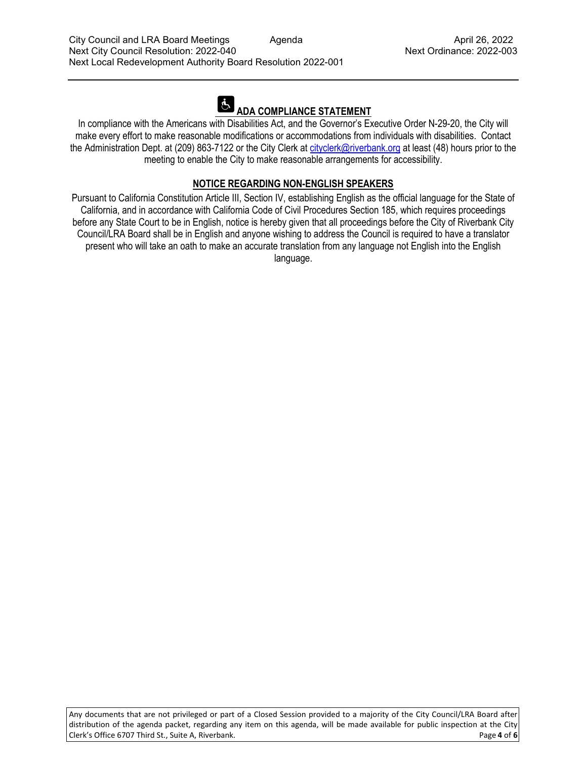# **ADA COMPLIANCE STATEMENT**

In compliance with the Americans with Disabilities Act, and the Governor's Executive Order N-29-20, the City will make every effort to make reasonable modifications or accommodations from individuals with disabilities. Contact the Administration Dept. at (209) 863-7122 or the City Clerk at [cityclerk@riverbank.org](mailto:cityclerk@riverbank.org) at least (48) hours prior to the meeting to enable the City to make reasonable arrangements for accessibility.

## **NOTICE REGARDING NON-ENGLISH SPEAKERS**

Pursuant to California Constitution Article III, Section IV, establishing English as the official language for the State of California, and in accordance with California Code of Civil Procedures Section 185, which requires proceedings before any State Court to be in English, notice is hereby given that all proceedings before the City of Riverbank City Council/LRA Board shall be in English and anyone wishing to address the Council is required to have a translator present who will take an oath to make an accurate translation from any language not English into the English language.

Any documents that are not privileged or part of a Closed Session provided to a majority of the City Council/LRA Board after distribution of the agenda packet, regarding any item on this agenda, will be made available for public inspection at the City Clerk's Office 6707 Third St., Suite A, Riverbank. Page **4** of **6**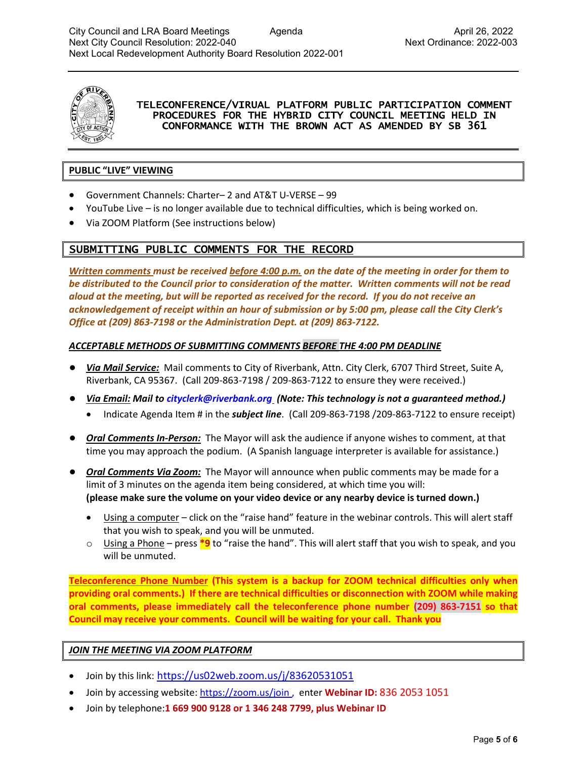

#### TELECONFERENCE/VIRUAL PLATFORM PUBLIC PARTICIPATION COMMENT PROCEDURES FOR THE HYBRID CITY COUNCIL MEETING HELD IN CONFORMANCE WITH THE BROWN ACT AS AMENDED BY SB 361

## **PUBLIC "LIVE" VIEWING**

- Government Channels: Charter– 2 and AT&T U-VERSE 99
- YouTube Live is no longer available due to technical difficulties, which is being worked on.
- Via ZOOM Platform (See instructions below)

## SUBMITTING PUBLIC COMMENTS FOR THE RECORD

*Written comments must be received before 4:00 p.m. on the date of the meeting in order for them to be distributed to the Council prior to consideration of the matter. Written comments will not be read aloud at the meeting, but will be reported as received for the record. If you do not receive an acknowledgement of receipt within an hour of submission or by 5:00 pm, please call the City Clerk's Office at (209) 863-7198 or the Administration Dept. at (209) 863-7122.*

#### *ACCEPTABLE METHODS OF SUBMITTING COMMENTS BEFORE THE 4:00 PM DEADLINE*

- *Via Mail Service:* Mail comments to City of Riverbank, Attn. City Clerk, 6707 Third Street, Suite A, Riverbank, CA 95367. (Call 209-863-7198 / 209-863-7122 to ensure they were received.)
- *Via Email: Mail to [cityclerk@riverbank.org](mailto:cityclerk@riverbank.org) (Note: This technology is not a guaranteed method.)* 
	- Indicate Agenda Item # in the *subject line*. (Call 209-863-7198 /209-863-7122 to ensure receipt)
- *Oral Comments In-Person:* The Mayor will ask the audience if anyone wishes to comment, at that time you may approach the podium. (A Spanish language interpreter is available for assistance.)
- *Oral Comments Via Zoom:* The Mayor will announce when public comments may be made for a limit of 3 minutes on the agenda item being considered, at which time you will: **(please make sure the volume on your video device or any nearby device is turned down.)**
	- Using a computer click on the "raise hand" feature in the webinar controls. This will alert staff that you wish to speak, and you will be unmuted.
	- o Using a Phone press **\*9** to "raise the hand". This will alert staff that you wish to speak, and you will be unmuted.

**Teleconference Phone Number (This system is a backup for ZOOM technical difficulties only when providing oral comments.) If there are technical difficulties or disconnection with ZOOM while making oral comments, please immediately call the teleconference phone number (209) 863-7151 so that Council may receive your comments. Council will be waiting for your call. Thank you**

#### *JOIN THE MEETING VIA ZOOM PLATFORM*

- Join by this link: https://us02web.zoom.us/j/83620531051
- Join by accessing website[: https://zoom.us/join](https://zoom.us/join) , enter **Webinar ID:** 836 2053 1051
- Join by telephone:**1 669 900 9128 or 1 346 248 7799, plus Webinar ID**